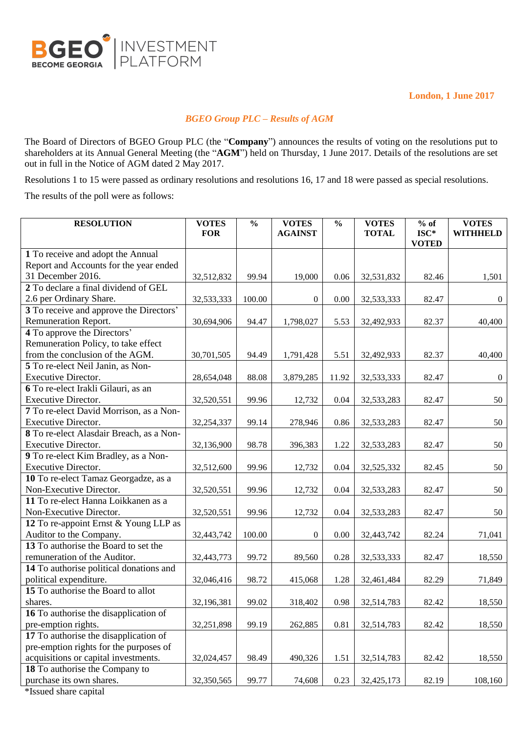

**London, 1 June 2017**

## *BGEO Group PLC – Results of AGM*

The Board of Directors of BGEO Group PLC (the "**Company**") announces the results of voting on the resolutions put to shareholders at its Annual General Meeting (the "**AGM**") held on Thursday, 1 June 2017. Details of the resolutions are set out in full in the Notice of AGM dated 2 May 2017.

Resolutions 1 to 15 were passed as ordinary resolutions and resolutions 16, 17 and 18 were passed as special resolutions.

The results of the poll were as follows:

| <b>RESOLUTION</b>                                    | <b>VOTES</b> | $\frac{0}{0}$ | <b>VOTES</b>   | $\frac{0}{0}$ | <b>VOTES</b> | $%$ of                 | <b>VOTES</b>    |
|------------------------------------------------------|--------------|---------------|----------------|---------------|--------------|------------------------|-----------------|
|                                                      | <b>FOR</b>   |               | <b>AGAINST</b> |               | <b>TOTAL</b> | $ISC*$<br><b>VOTED</b> | <b>WITHHELD</b> |
| 1 To receive and adopt the Annual                    |              |               |                |               |              |                        |                 |
| Report and Accounts for the year ended               |              |               |                |               |              |                        |                 |
| 31 December 2016.                                    | 32,512,832   | 99.94         | 19,000         | 0.06          | 32,531,832   | 82.46                  | 1,501           |
| 2 To declare a final dividend of GEL                 |              |               |                |               |              |                        |                 |
| 2.6 per Ordinary Share.                              | 32,533,333   | 100.00        | $\overline{0}$ | 0.00          | 32,533,333   | 82.47                  | $\overline{0}$  |
| 3 To receive and approve the Directors'              |              |               |                |               |              |                        |                 |
| Remuneration Report.                                 | 30,694,906   | 94.47         | 1,798,027      | 5.53          | 32,492,933   | 82.37                  | 40,400          |
| 4 To approve the Directors'                          |              |               |                |               |              |                        |                 |
| Remuneration Policy, to take effect                  |              |               |                |               |              |                        |                 |
| from the conclusion of the AGM.                      | 30,701,505   | 94.49         | 1,791,428      | 5.51          | 32,492,933   | 82.37                  | 40,400          |
| 5 To re-elect Neil Janin, as Non-                    |              |               |                |               |              |                        |                 |
| Executive Director.                                  | 28,654,048   | 88.08         | 3,879,285      | 11.92         | 32,533,333   | 82.47                  | $\overline{0}$  |
| 6 To re-elect Irakli Gilauri, as an                  |              |               |                |               |              |                        |                 |
| Executive Director.                                  | 32,520,551   | 99.96         | 12,732         | 0.04          | 32,533,283   | 82.47                  | 50              |
| 7 To re-elect David Morrison, as a Non-              |              |               |                |               |              |                        |                 |
| <b>Executive Director.</b>                           | 32,254,337   | 99.14         | 278,946        | 0.86          | 32,533,283   | 82.47                  | 50              |
| 8 To re-elect Alasdair Breach, as a Non-             |              |               |                |               |              |                        |                 |
| <b>Executive Director.</b>                           | 32,136,900   | 98.78         | 396,383        | 1.22          | 32,533,283   | 82.47                  | 50              |
| 9 To re-elect Kim Bradley, as a Non-                 |              |               |                |               |              |                        |                 |
| <b>Executive Director.</b>                           | 32,512,600   | 99.96         | 12,732         | 0.04          | 32,525,332   | 82.45                  | 50              |
| 10 To re-elect Tamaz Georgadze, as a                 |              |               |                |               |              |                        |                 |
| Non-Executive Director.                              | 32,520,551   | 99.96         | 12,732         | 0.04          | 32,533,283   | 82.47                  | 50              |
| 11 To re-elect Hanna Loikkanen as a                  |              |               |                |               |              |                        |                 |
| Non-Executive Director.                              | 32,520,551   | 99.96         | 12,732         | 0.04          | 32,533,283   | 82.47                  | 50              |
| 12 To re-appoint Ernst & Young LLP as                |              |               |                |               |              |                        |                 |
| Auditor to the Company.                              | 32,443,742   | 100.00        | $\mathbf{0}$   | 0.00          | 32,443,742   | 82.24                  | 71,041          |
| 13 To authorise the Board to set the                 |              |               |                |               |              |                        |                 |
| remuneration of the Auditor.                         | 32,443,773   | 99.72         | 89,560         | 0.28          | 32,533,333   | 82.47                  | 18,550          |
| 14 To authorise political donations and              |              |               |                |               |              |                        |                 |
| political expenditure.                               | 32,046,416   | 98.72         | 415,068        | 1.28          | 32,461,484   | 82.29                  | 71,849          |
| 15 To authorise the Board to allot                   |              |               |                |               |              |                        |                 |
| shares.                                              | 32,196,381   | 99.02         | 318,402        | 0.98          | 32,514,783   | 82.42                  | 18,550          |
| 16 To authorise the disapplication of                |              |               |                |               |              |                        |                 |
| pre-emption rights.                                  | 32,251,898   | 99.19         | 262,885        | 0.81          | 32,514,783   | 82.42                  | 18,550          |
| 17 To authorise the disapplication of                |              |               |                |               |              |                        |                 |
| pre-emption rights for the purposes of               |              |               |                |               |              |                        |                 |
| acquisitions or capital investments.                 | 32,024,457   | 98.49         | 490,326        | 1.51          | 32,514,783   | 82.42                  | 18,550          |
| 18 To authorise the Company to                       |              |               |                |               |              |                        |                 |
| purchase its own shares.<br>$*Iconod$ change conital | 32,350,565   | 99.77         | 74,608         | 0.23          | 32,425,173   | 82.19                  | 108,160         |

\*Issued share capital